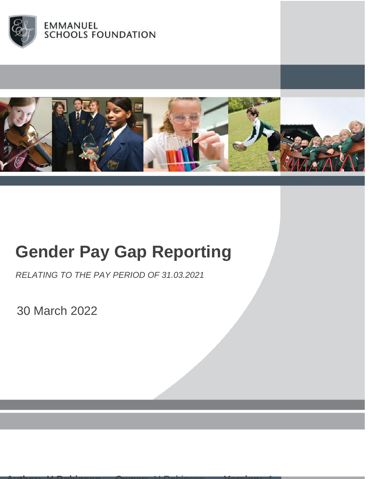



# **Gender Pay Gap Reporting**

**Author: H Robinson Owner:** H Robinson **Version:** 1

*RELATING TO THE PAY PERIOD OF 31.03.2021*

30 March 2022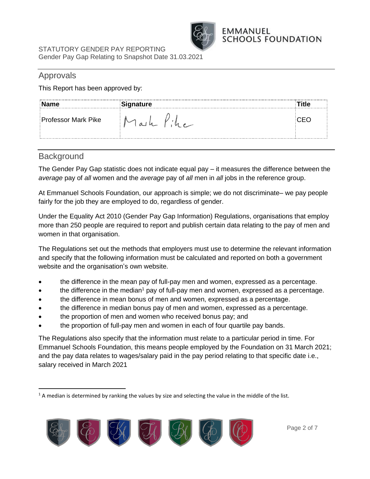

## Approvals

This Report has been approved by:

| Name                | <b>Signature</b> |  |
|---------------------|------------------|--|
| Professor Mark Pike |                  |  |

## **Background**

The Gender Pay Gap statistic does not indicate equal pay – it measures the difference between the *average* pay of *all* women and the *average* pay of *all* men in *all* jobs in the reference group.

At Emmanuel Schools Foundation, our approach is simple; we do not discriminate– we pay people fairly for the job they are employed to do, regardless of gender.

Under the Equality Act 2010 (Gender Pay Gap Information) Regulations, organisations that employ more than 250 people are required to report and publish certain data relating to the pay of men and women in that organisation.

The Regulations set out the methods that employers must use to determine the relevant information and specify that the following information must be calculated and reported on both a government website and the organisation's own website.

- the difference in the mean pay of full-pay men and women, expressed as a percentage.
- $\bullet$  the difference in the median<sup>1</sup> pay of full-pay men and women, expressed as a percentage.
- the difference in mean bonus of men and women, expressed as a percentage.
- the difference in median bonus pay of men and women, expressed as a percentage.
- the proportion of men and women who received bonus pay; and
- the proportion of full-pay men and women in each of four quartile pay bands.

The Regulations also specify that the information must relate to a particular period in time. For Emmanuel Schools Foundation, this means people employed by the Foundation on 31 March 2021; and the pay data relates to wages/salary paid in the pay period relating to that specific date i.e., salary received in March 2021

 $1$  A median is determined by ranking the values by size and selecting the value in the middle of the list.

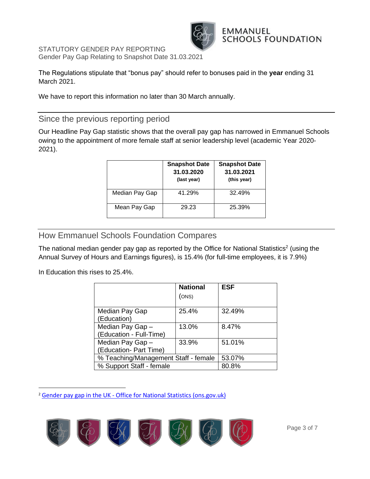

STATUTORY GENDER PAY REPORTING Gender Pay Gap Relating to Snapshot Date 31.03.2021

The Regulations stipulate that "bonus pay" should refer to bonuses paid in the **year** ending 31 March 2021.

We have to report this information no later than 30 March annually.

Since the previous reporting period

Our Headline Pay Gap statistic shows that the overall pay gap has narrowed in Emmanuel Schools owing to the appointment of more female staff at senior leadership level (academic Year 2020- 2021).

|                | <b>Snapshot Date</b><br>31.03.2020<br>(last year) | <b>Snapshot Date</b><br>31.03.2021<br>(this year) |  |  |
|----------------|---------------------------------------------------|---------------------------------------------------|--|--|
| Median Pay Gap | 41.29%                                            | 32.49%                                            |  |  |
| Mean Pay Gap   | 29.23                                             | 25.39%                                            |  |  |

How Emmanuel Schools Foundation Compares

The national median gender pay gap as reported by the Office for National Statistics<sup>2</sup> (using the Annual Survey of Hours and Earnings figures), is 15.4% (for full-time employees, it is 7.9%)

In Education this rises to 25.4%.

|                                             | <b>National</b> | <b>ESF</b> |
|---------------------------------------------|-----------------|------------|
|                                             | (ONS)           |            |
| Median Pay Gap<br>(Education)               | 25.4%           | 32.49%     |
| Median Pay Gap -<br>(Education - Full-Time) | 13.0%           | 8.47%      |
| Median Pay Gap -<br>(Education- Part Time)  | 33.9%           | 51.01%     |
| % Teaching/Management Staff - female        | 53.07%          |            |
| % Support Staff - female                    | 80.8%           |            |

<sup>&</sup>lt;sup>2</sup> Gender pay gap in the UK - [Office for National Statistics \(ons.gov.uk\)](https://www.ons.gov.uk/employmentandlabourmarket/peopleinwork/earningsandworkinghours/bulletins/genderpaygapintheuk/2021)

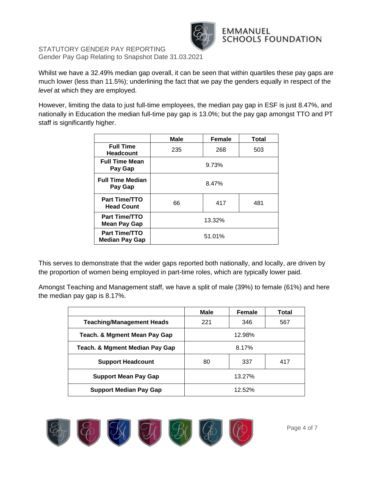

STATUTORY GENDER PAY REPORTING Gender Pay Gap Relating to Snapshot Date 31.03.2021

Whilst we have a 32.49% median gap overall, it can be seen that within quartiles these pay gaps are much lower (less than 11.5%); underlining the fact that we pay the genders equally in respect of the *level* at which they are employed.

However, limiting the data to just full-time employees, the median pay gap in ESF is just 8.47%, and nationally in Education the median full-time pay gap is 13.0%; but the pay gap amongst TTO and PT staff is significantly higher.

|                                               | Male   | <b>Female</b> | <b>Total</b> |
|-----------------------------------------------|--------|---------------|--------------|
| <b>Full Time</b><br><b>Headcount</b>          | 235    | 268           | 503          |
| <b>Full Time Mean</b><br>Pay Gap              | 9.73%  |               |              |
| <b>Full Time Median</b><br>Pay Gap            | 8.47%  |               |              |
| <b>Part Time/TTO</b><br><b>Head Count</b>     | 66     | 417           | 481          |
| <b>Part Time/TTO</b><br><b>Mean Pay Gap</b>   | 13.32% |               |              |
| <b>Part Time/TTO</b><br><b>Median Pay Gap</b> | 51.01% |               |              |

This serves to demonstrate that the wider gaps reported both nationally, and locally, are driven by the proportion of women being employed in part-time roles, which are typically lower paid.

Amongst Teaching and Management staff, we have a split of male (39%) to female (61%) and here the median pay gap is 8.17%.

|                                           | Male      | Female | Total |
|-------------------------------------------|-----------|--------|-------|
| <b>Teaching/Management Heads</b>          | 221       | 346    | 567   |
| Teach. & Mgment Mean Pay Gap              | 12.98%    |        |       |
| <b>Teach. &amp; Mgment Median Pay Gap</b> | 8.17%     |        |       |
| <b>Support Headcount</b>                  | 80<br>337 |        | 417   |
| <b>Support Mean Pay Gap</b>               | 13.27%    |        |       |
| 12.52%<br><b>Support Median Pay Gap</b>   |           |        |       |

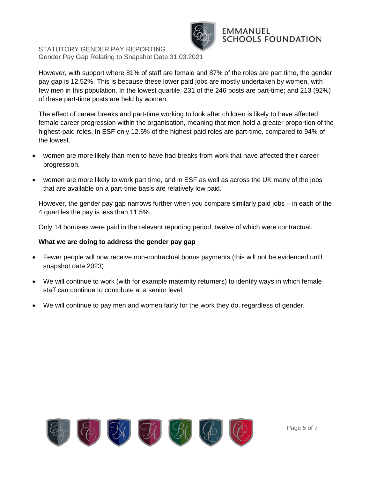STATUTORY GENDER PAY REPORTING Gender Pay Gap Relating to Snapshot Date 31.03.2021



However, with support where 81% of staff are female and 87% of the roles are part time, the gender pay gap is 12.52%. This is because these lower paid jobs are mostly undertaken by women, with few men in this population. In the lowest quartile, 231 of the 246 posts are part-time; and 213 (92%) of these part-time posts are held by women.

The effect of career breaks and part-time working to look after children is likely to have affected female career progression within the organisation, meaning that men hold a greater proportion of the highest-paid roles. In ESF only 12.6% of the highest paid roles are part-time, compared to 94% of the lowest.

- women are more likely than men to have had breaks from work that have affected their career progression.
- women are more likely to work part time, and in ESF as well as across the UK many of the jobs that are available on a part-time basis are relatively low paid.

However, the gender pay gap narrows further when you compare similarly paid jobs – in each of the 4 quartiles the pay is less than 11.5%.

Only 14 bonuses were paid in the relevant reporting period, twelve of which were contractual.

### **What we are doing to address the gender pay gap**

- Fewer people will now receive non-contractual bonus payments (this will not be evidenced until snapshot date 2023)
- We will continue to work (with for example maternity returners) to identify ways in which female staff can continue to contribute at a senior level.
- We will continue to pay men and women fairly for the work they do, regardless of gender.

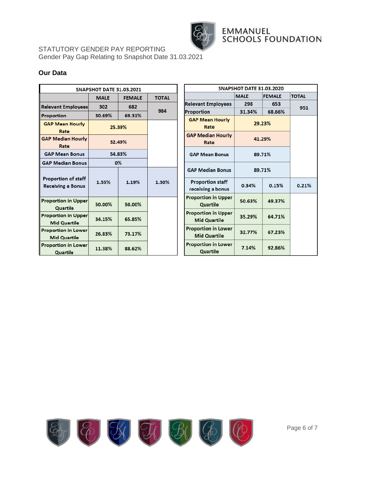

#### STATUTORY GENDER PAY REPORTING Gender Pay Gap Relating to Snapshot Date 31.03.2021

#### **Our Data**

| <b>SNAPSHOT DATE 31.03.2021</b>                        |             |               |              |  |
|--------------------------------------------------------|-------------|---------------|--------------|--|
|                                                        | <b>MALE</b> | <b>FEMALE</b> | <b>TOTAL</b> |  |
| <b>Relevant Employees</b>                              | 302         | 682           | 984          |  |
| <b>Proportion</b>                                      | 30.69%      | 69.31%        |              |  |
| <b>GAP Mean Hourly</b><br>Rate                         | 25.39%      |               |              |  |
| <b>GAP Median Hourly</b><br>Rate                       | 32.49%      |               |              |  |
| <b>GAP Mean Bonus</b>                                  | 54.83%      |               |              |  |
| <b>GAP Median Bonus</b>                                | 0%          |               |              |  |
| <b>Proportion of staff</b><br><b>Receiving a Bonus</b> | 1.55%       | 1.19%         | 1.30%        |  |
| <b>Proportion in Upper</b><br>Quartile                 | 50.00%      | 50.00%        |              |  |
| <b>Proportion in Upper</b><br><b>Mid Quartile</b>      | 34.15%      | 65.85%        |              |  |
| <b>Proportion in Lower</b><br><b>Mid Quartile</b>      | 26.83%      | 73.17%        |              |  |
| <b>Proportion in Lower</b><br>Quartile                 | 11.38%      | 88.62%        |              |  |

| <b>SNAPSHOT DATE 31.03.2020</b>                   |                |               |              |  |
|---------------------------------------------------|----------------|---------------|--------------|--|
|                                                   | <b>MALE</b>    | <b>FEMALE</b> | <b>TOTAL</b> |  |
| <b>Relevant Employees</b>                         | 298            | 653           | 951          |  |
| <b>Proportion</b>                                 | 31.34%         | 68.66%        |              |  |
| <b>GAP Mean Hourly</b><br>Rate                    | 29.23%         |               |              |  |
| <b>GAP Median Hourly</b><br>Rate                  | 41.29%         |               |              |  |
| <b>GAP Mean Bonus</b>                             | 89.71%         |               |              |  |
| <b>GAP Median Bonus</b>                           | 89.71%         |               |              |  |
| <b>Proportion staff</b><br>receiving a bonus      | 0.34%<br>0.15% |               | 0.21%        |  |
| <b>Proportion in Upper</b><br>Quartile            | 50.63%         | 49.37%        |              |  |
| <b>Proportion in Upper</b><br><b>Mid Quartile</b> | 35.29%         | 64.71%        |              |  |
| <b>Proportion in Lower</b><br><b>Mid Quartile</b> | 32.77%         | 67.23%        |              |  |
| <b>Proportion in Lower</b><br>Quartile            | 7.14%          | 92.86%        |              |  |